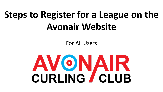# **Steps to Register for a League on the Avonair Website**

For All Users

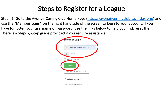Step #1: Go to the Avonair Curling Club Home Page ([https://avonaircurlingclub.ca/index.php\)](https://avonaircurlingclub.ca/index.php) and use the "Member Login" on the right hand side of the screen to login to your account. If you have forgotten your username or password, use the links below to help you find/reset them. There is a Step-by-Step guide provided if you require assistance.



Forgot your username?

Forgot your password?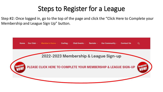Step #2: Once logged in, go to the top of the page and click the "Click Here to Complete your Membership and League Sign Up" button.

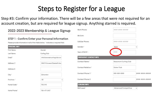Step #3: Confirm your information. There will be a few areas that were not required for an account creation, but are required for league signup. Anything starred is required.

|                           | 2022-2023 Membership & League Signup                                                 | Work Phone:                   | ###-###-####                         |
|---------------------------|--------------------------------------------------------------------------------------|-------------------------------|--------------------------------------|
|                           | STEP 1 - Confirm/Enter your Personal Information                                     | Wk Extn:                      |                                      |
|                           | Please provide information in all of the fields below. * indicates a required field. | Cellular Phone:               | ###-###-####                         |
| <b>PERSONAL INFO</b>      |                                                                                      | Gender:*                      | Male<br>◡                            |
| First Name:<br>Last Name: | Avonair<br>Curling Club                                                              | Year of Birth*:               | YYYY                                 |
| Email:*                   | info@avonaircurlingclub.cor                                                          | <b>EMERGENCY CONTACT INFO</b> |                                      |
| Address 1:*               | 10607 Princess Elizabeth Ave                                                         | Contact Name:*                | <b>Beaumont Curling Club</b>         |
| Address 2:                |                                                                                      | Contact Relation:*            | Sister Club                          |
| City:*                    | Edmonton                                                                             | Contact Phone 1:*             | 000-000-0000<br>###-###-####         |
| Province: *               | AB<br>$\checkmark$                                                                   | Contact Phone 2:              | ###-###-####                         |
| Postal Code:*             | <b>T5G 0Y6</b>                                                                       | <b>CURLING INFO</b>           |                                      |
| Home Phone:*              | 780-477-2427                                                                         | Skill Level:*                 | Advanced/Competitive<br>$\checkmark$ |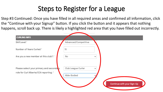Step #3 Continued: Once you have filled in all required areas and confirmed all information, click the "Continue with your Signup" button. If you click the button and it appears that nothing happens, scroll back up. There is likely a highlighted red area that you have filled out incorrectly.

| <b>CURLING INFO</b>                      |                                    |
|------------------------------------------|------------------------------------|
| Skill Level:*                            | Advanced/Competitive               |
| Number of Years Curled:*                 | 15                                 |
| Are you a new member at this club?:*     | No<br>$\checkmark$                 |
| Please select your primary and secondary | Club League Curler<br>$\checkmark$ |
| role for Curl Alberta/CCA reporting: *   | Able-Bodied                        |
|                                          | Continue with your Sign-Up         |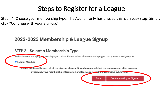Step #4: Choose your membership type. The Avonair only has one, so this is an easy step! Simply click "Continue with your Sign-up."

#### 2022-2023 Membership & League Signup

#### STEP 2 - Select a Membership Type

Available membership types are displayed below. Please select the membership type that you wish to sign up for.

Regular Member

Please continue through all of the sign-up steps until you have completed the entire registration process.

Otherwise, your membership information and league registrations will not be submitted.

Back

Continue with your Sign-up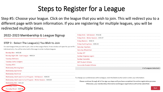Step #5: Choose your league. Click on the league that you wish to join. This will redirect you to a different page with team information. If you are registering for multiple leagues, you will be redirected multiple times.

| 2022-2023 Membership & League Signup                                                                      | Friday Stick - Fall Session - \$142.86                                                                                                                                                               |  |  |  |  |  |  |
|-----------------------------------------------------------------------------------------------------------|------------------------------------------------------------------------------------------------------------------------------------------------------------------------------------------------------|--|--|--|--|--|--|
|                                                                                                           | Friday Stick - Winter Session - \$128.57                                                                                                                                                             |  |  |  |  |  |  |
|                                                                                                           | Friday Masters - \$338.10<br>Friday Anything Goes - \$290.48<br><b>Saturday Teachers</b><br>Saturday Wheelchair                                                                                      |  |  |  |  |  |  |
| STEP 3 - Select The League(s) You Wish to Join                                                            |                                                                                                                                                                                                      |  |  |  |  |  |  |
| For each league that you wish to join, click on the League Name. A new window will open for you to fill c |                                                                                                                                                                                                      |  |  |  |  |  |  |
| individual entry. You will be returned to this page to enter multiple leagues.                            |                                                                                                                                                                                                      |  |  |  |  |  |  |
| Monday Men - \$442.86                                                                                     | Sunday ACT                                                                                                                                                                                           |  |  |  |  |  |  |
| Monday Night 200+ Cash League - \$595.24                                                                  | <b>Sunday Kingsway Legion</b>                                                                                                                                                                        |  |  |  |  |  |  |
| <b>Tuesday Oldtimers</b>                                                                                  | Sunday Evansdale                                                                                                                                                                                     |  |  |  |  |  |  |
| <b>Tuesday Crafty Codgers</b>                                                                             | <b>NAIT Student Athlete</b>                                                                                                                                                                          |  |  |  |  |  |  |
| <b>Tuesday ATCO</b>                                                                                       | <b>Concordia Student Athlete</b>                                                                                                                                                                     |  |  |  |  |  |  |
| <b>Wednesday Morning Open</b>                                                                             | # of Leagues Selected: 0                                                                                                                                                                             |  |  |  |  |  |  |
| <b>Wednesday Sportsmen</b>                                                                                |                                                                                                                                                                                                      |  |  |  |  |  |  |
| <b>Wednesday Electrical</b>                                                                               |                                                                                                                                                                                                      |  |  |  |  |  |  |
| Wednesday Adult Learn to Curl Program - Fall Session - \$200.00                                           | To change your preferences within a league, click the Delete button and re-enter your information.                                                                                                   |  |  |  |  |  |  |
| Wednesday Adult Learn to Curl Program - Winter Session - \$200.00                                         |                                                                                                                                                                                                      |  |  |  |  |  |  |
| Wednesday Men - \$414.29                                                                                  | Please continue through all of the sign-up steps until you have completed the entire registration process.<br>Otherwise, your membership information and league registrations will not be submitted. |  |  |  |  |  |  |
| <b>Marsday Police</b>                                                                                     |                                                                                                                                                                                                      |  |  |  |  |  |  |
| Thursday Mixed - \$390.48                                                                                 | <b>Back</b>                                                                                                                                                                                          |  |  |  |  |  |  |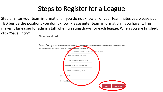Step 6: Enter your team information. If you do not know all of your teammates yet, please put TBD beside the positions you don't know. Please enter team information if you have it. This makes it far easier for admin staff when creating draws for each league. When you are finished, click "Save Entry".**Thursday Mixed** 

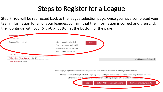Step 7: You will be redirected back to the league selection page. Once you have completed your team information for all of your leagues, confirm that the information is correct and then click the "Continue with your Sign-Up" button at the bottom of the page.

| Wednesday M<br>7414.29                   |       |                                |        |  |                          |
|------------------------------------------|-------|--------------------------------|--------|--|--------------------------|
| Thursday Police                          |       |                                |        |  |                          |
| Thursday Mixed - \$390.48                | Skip: | Avonair Curling Club           | Delete |  |                          |
|                                          | Vice: | Beaumont Curling Club          |        |  |                          |
|                                          |       | Second: Rose City Curling Club |        |  |                          |
|                                          | Lead: | Leduc Curling Club             |        |  |                          |
| Friday Stick - Fall Session - \$142.00   |       |                                |        |  |                          |
| Friday Stick - Winter Session - \$128.57 |       |                                |        |  | # of Leagues Selected: 1 |
| Friday Masters - \$338.10                |       |                                |        |  |                          |

To change your preferences within a league, click the Delete button and re-enter your information.

**Back** 

Please continue through all of the sign-up steps until you have completed the entire registration process.

Otherwise, your membership innormation and league registrations will not be suprim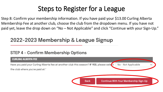Step 8: Confirm your membership information. If you have paid your \$13.00 Curling Alberta Membership Fee at another club, choose the club from the dropdown menu. If you have not paid yet, leave the drop down on "No – Not Applicable" and click "Continue with your Sign-Up."

#### 2022-2023 Membership & League Signup

#### STEP 4 - Confirm Membership Options

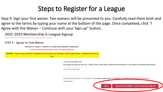Step 9: Sign your first waiver. Two waivers will be presented to you. Carefully read them both and agree to the terms by typing your name at the bottom of the page. Once completed, click "I Agree with the Waiver - Continue with your Sign-up" button.

2022-2023 Membership & League Signup

STEP 5 - Agree to Club Waiver

RELEASE OF LIABILITY, WAIVER OF CLAIMS AND INDEMNITY AGREEMENT

to be executed by participants over the Age of Majority

WARNING! Please read carefully. By signing this document, you will waive certain legal rights - including the right to

sue.

I am over the age of 18.

By typing my name in this box, I assert that I have read, understand and agree to the waiver and agreement above.

Avonair Curling Club

By clicking this button, I certify that I have read, understand, and agree to the Waiver as outlined in the above

statements.

**Back**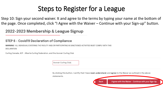Step 10: Sign your second waiver. It and agree to the terms by typing your name at the bottom of the page. Once completed, click "I Agree with the Waiver – Continue with your Sign-up" button.

2022-2023 Membership & League Signup

#### STEP 6 - Covid19 Declaration of Compliance

WARNING! ALL INDIVIDUALS ENTERING THE FACILITY AND/OR PARTICIPATING IN SANCTIONED ACTIVITIES MUST COMPLY WITH THIS DECLARATION

Curling Canada, ACF - Alberta Curling Federation, and the Avonair Curling Club

Avonair Curling Club

By clicking this button, I certify that I have read, understand, and agree to the Waiver as outlined in the above statements.

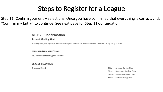Step 11: Confirm your entry selections. Once you have confirmed that everything is correct, click "Confirm my Entry" to continue. See next page for Step 11 Continuation.

#### STEP 7 - Confirmation

#### **Avonair Curling Club**

To complete your sign-up, please review your selections below and click the Confirm My Entry button.

#### **MEMBERSHIP SELECTION**

You have selected: Regular Member

#### **LEAGUE SELECTION**

Thursday Mixed

Avonair Curling Club Skip: Beaumont Curling Club Vice: Second:Rose City Curling Club Leduc Curling Club Lead: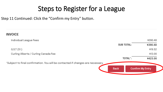Step 11 Continued: Click the "Confirm my Entry" button.

| <b>INVOICE</b>                                                                  |                   |                         |
|---------------------------------------------------------------------------------|-------------------|-------------------------|
| Individual League Fees                                                          |                   | \$390.48                |
|                                                                                 | <b>SUB TOTAL:</b> | \$390.48                |
| G.S.T(5%)                                                                       |                   | \$19.52                 |
| Curling Alberta / Curling Canada Fee                                            |                   | \$13.00                 |
|                                                                                 | <b>TOTAL</b> *:   | \$423.00                |
| *Subject to final confirmation. You will be contacted if changes are necessary. |                   |                         |
|                                                                                 | <b>Back</b>       | <b>Confirm My Entry</b> |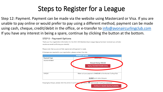Step 12: Payment. Payment can be made via the website using Mastercard or Visa. If you are unable to pay online or would prefer to pay using a different method, payment can be made using cash, cheque, credit/debit in the office, or e-transfer to [info@avonaircurlingclub.com](mailto:info@avonaircurlingclub.com) If you have any interest in being a spare, continue by clicking the button at the bottom.

#### **STEP 8 - Payment Options**

```
Thank you! Your registration information for the 2022-2023 Membership & League Signup has been received (you will also
receive an email confirming your details).
```
Please note that you are not fully registered until payment is made.

If changes are required to your registration, please contact the club.

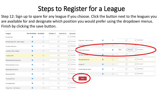Step 12: Sign up to spare for any league if you choose. Click the button next to the leagues you are available for and designate which position you would prefer using the dropdown menus. Finish by clicking the save button.

| League                        | Not Available Available |            | Position 1 | <b>Position 2</b>            | Commen    |                               |            |            |                |                        |                |
|-------------------------------|-------------------------|------------|------------|------------------------------|-----------|-------------------------------|------------|------------|----------------|------------------------|----------------|
| Monday Men                    | $\bullet$               | $\bigcirc$ |            | $\checkmark$<br>$\checkmark$ | Comme     |                               |            |            |                |                        |                |
| Monday Night 200+ Cash League | $\bullet$               | $\bigcirc$ |            | $\checkmark$<br>$\checkmark$ | Comme     | Friday Stick - Winter Session | $\bullet$  | $\circ$    | $\vee$         |                        | $\vee$ Comment |
| Tuesday Oldtimers             | $\bullet$               | $\bigcirc$ |            | $\checkmark$<br>$\checkmark$ | Comme     | Friday Masters                | $\bullet$  | $\circ$    | $\vee$         |                        |                |
| Tuesday Crafty Codgers        | $\bullet$               | $\bigcirc$ |            | $\checkmark$<br>$\checkmark$ | Comme     | Friday Anything Goes          | $\bigcirc$ | $\bullet$  | Vice<br>$\vee$ | Second<br>$\checkmark$ | Comment        |
| Tuesday ATCO                  | $\bullet$               | $\circ$    |            | $\checkmark$<br>$\checkmark$ | Comme     | Saturday Teachers             | $\bullet$  | $\circ$    | $\vee$         |                        | $\vee$ Comme   |
| Wednesday Morning Open        | $\bullet$               | $\bigcirc$ |            | $\checkmark$<br>$\checkmark$ | Comme     | Saturday Wheelchair           | $\bullet$  | $\circ$    | $\vee$         |                        | $\vee$ Comment |
| Wednesday Sportsmen           | $\bullet$               | $\bigcirc$ |            | $\checkmark$<br>$\checkmark$ | Comme     | Sunday ACT                    | $\bullet$  | $\circ$    | $\vee$         |                        | $\vee$ Comment |
| Wednesday Electrical          | $\bullet$               | $\bigcirc$ |            | $\checkmark$<br>$\checkmark$ | Comme     | Sunday Kingsway Legion        | $\bullet$  | $\bigcirc$ | $\vee$         | $\checkmark$           | Comment        |
| Wednesday Men                 | $\bullet$               | $\bigcirc$ |            | $\checkmark$<br>$\checkmark$ | Comme     | <b>John De Cay Laven</b>      | $\bullet$  | $\circ$    | $\vee$         |                        | $\vee$ Comment |
| Thursday Police               | $\bullet$               | $\bigcirc$ |            | $\checkmark$<br>$\checkmark$ | Cor<br>me | Save                          |            |            |                |                        |                |
| Thursday Mixed                | $\bullet$               | $\bigcirc$ |            | $\checkmark$<br>$\checkmark$ | Comme     |                               |            |            |                |                        |                |
| Friday Stick - Fall Session   | $\bullet$               | $\bigcirc$ |            | $\checkmark$<br>$\checkmark$ | Comme     |                               |            |            |                |                        |                |